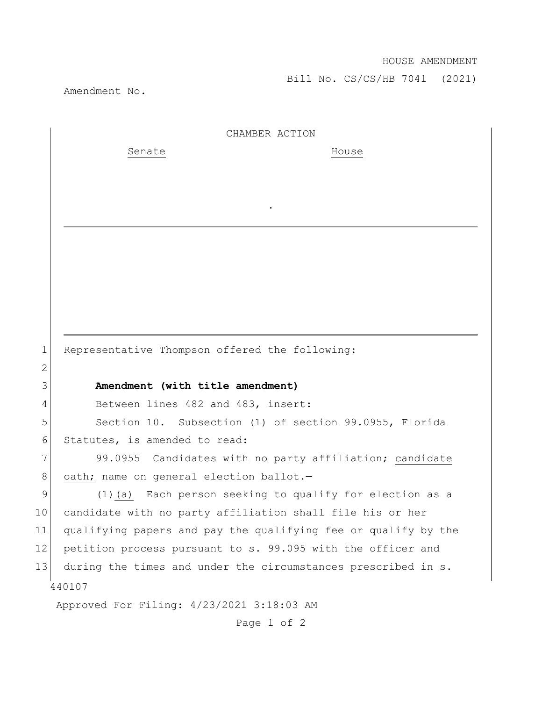Bill No. CS/CS/HB 7041 (2021)

Amendment No.

2

440107 Approved For Filing: 4/23/2021 3:18:03 AM CHAMBER ACTION Senate House . 1 Representative Thompson offered the following: 3 **Amendment (with title amendment)** 4 Between lines 482 and 483, insert: 5 Section 10. Subsection (1) of section 99.0955, Florida 6 Statutes, is amended to read: 7 99.0955 Candidates with no party affiliation; candidate 8 oath; name on general election ballot.-9 (1)(a) Each person seeking to qualify for election as a 10 candidate with no party affiliation shall file his or her 11 qualifying papers and pay the qualifying fee or qualify by the 12 petition process pursuant to s. 99.095 with the officer and 13 during the times and under the circumstances prescribed in s.

Page 1 of 2